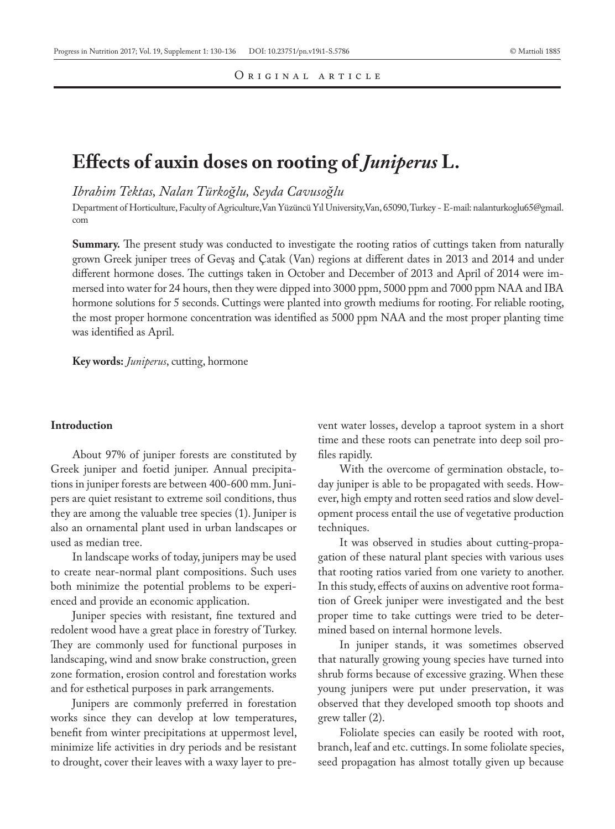# **Effects of auxin doses on rooting of** *Juniperus* **L.**

*Ibrahim Tektas, Nalan Türkoğlu, Seyda Cavusoğlu*

Department of Horticulture, Faculty of Agriculture,Van Yüzüncü Yıl University,Van, 65090, Turkey - E-mail: nalanturkoglu65@gmail. com

**Summary.** The present study was conducted to investigate the rooting ratios of cuttings taken from naturally grown Greek juniper trees of Gevaş and Çatak (Van) regions at different dates in 2013 and 2014 and under different hormone doses. The cuttings taken in October and December of 2013 and April of 2014 were immersed into water for 24 hours, then they were dipped into 3000 ppm, 5000 ppm and 7000 ppm NAA and IBA hormone solutions for 5 seconds. Cuttings were planted into growth mediums for rooting. For reliable rooting, the most proper hormone concentration was identified as 5000 ppm NAA and the most proper planting time was identified as April.

**Key words:** *Juniperus*, cutting, hormone

## **Introduction**

About 97% of juniper forests are constituted by Greek juniper and foetid juniper. Annual precipitations in juniper forests are between 400-600 mm. Junipers are quiet resistant to extreme soil conditions, thus they are among the valuable tree species (1). Juniper is also an ornamental plant used in urban landscapes or used as median tree.

In landscape works of today, junipers may be used to create near-normal plant compositions. Such uses both minimize the potential problems to be experienced and provide an economic application.

Juniper species with resistant, fine textured and redolent wood have a great place in forestry of Turkey. They are commonly used for functional purposes in landscaping, wind and snow brake construction, green zone formation, erosion control and forestation works and for esthetical purposes in park arrangements.

Junipers are commonly preferred in forestation works since they can develop at low temperatures, benefit from winter precipitations at uppermost level, minimize life activities in dry periods and be resistant to drought, cover their leaves with a waxy layer to prevent water losses, develop a taproot system in a short time and these roots can penetrate into deep soil profiles rapidly.

With the overcome of germination obstacle, today juniper is able to be propagated with seeds. However, high empty and rotten seed ratios and slow development process entail the use of vegetative production techniques.

It was observed in studies about cutting-propagation of these natural plant species with various uses that rooting ratios varied from one variety to another. In this study, effects of auxins on adventive root formation of Greek juniper were investigated and the best proper time to take cuttings were tried to be determined based on internal hormone levels.

In juniper stands, it was sometimes observed that naturally growing young species have turned into shrub forms because of excessive grazing. When these young junipers were put under preservation, it was observed that they developed smooth top shoots and grew taller (2).

Foliolate species can easily be rooted with root, branch, leaf and etc. cuttings. In some foliolate species, seed propagation has almost totally given up because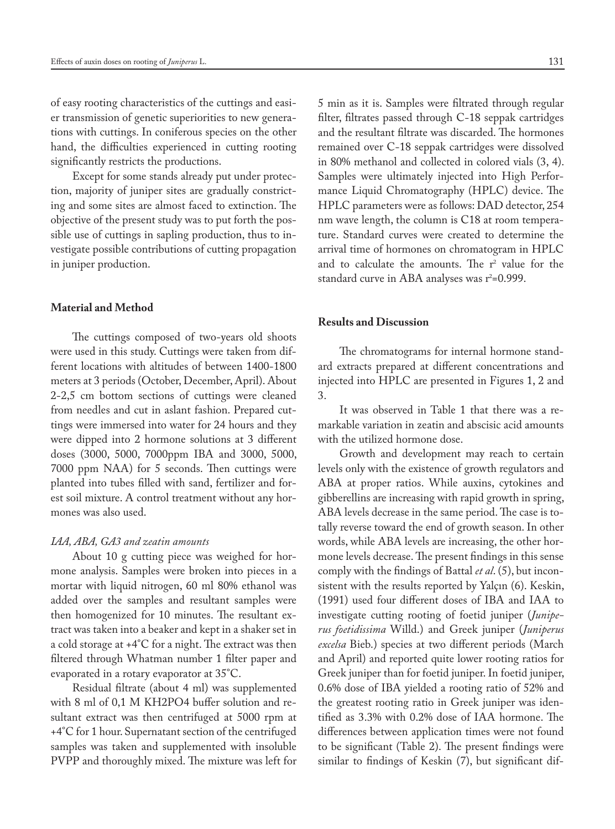of easy rooting characteristics of the cuttings and easier transmission of genetic superiorities to new generations with cuttings. In coniferous species on the other hand, the difficulties experienced in cutting rooting significantly restricts the productions.

Except for some stands already put under protection, majority of juniper sites are gradually constricting and some sites are almost faced to extinction. The objective of the present study was to put forth the possible use of cuttings in sapling production, thus to investigate possible contributions of cutting propagation in juniper production.

## **Material and Method**

The cuttings composed of two-years old shoots were used in this study. Cuttings were taken from different locations with altitudes of between 1400-1800 meters at 3 periods (October, December, April). About 2-2,5 cm bottom sections of cuttings were cleaned from needles and cut in aslant fashion. Prepared cuttings were immersed into water for 24 hours and they were dipped into 2 hormone solutions at 3 different doses (3000, 5000, 7000ppm IBA and 3000, 5000, 7000 ppm NAA) for 5 seconds. Then cuttings were planted into tubes filled with sand, fertilizer and forest soil mixture. A control treatment without any hormones was also used.

# *IAA, ABA, GA3 and zeatin amounts*

About 10 g cutting piece was weighed for hormone analysis. Samples were broken into pieces in a mortar with liquid nitrogen, 60 ml 80% ethanol was added over the samples and resultant samples were then homogenized for 10 minutes. The resultant extract was taken into a beaker and kept in a shaker set in a cold storage at +4°C for a night. The extract was then filtered through Whatman number 1 filter paper and evaporated in a rotary evaporator at 35°C.

Residual filtrate (about 4 ml) was supplemented with 8 ml of 0,1 M KH2PO4 buffer solution and resultant extract was then centrifuged at 5000 rpm at +4°C for 1 hour. Supernatant section of the centrifuged samples was taken and supplemented with insoluble PVPP and thoroughly mixed. The mixture was left for 5 min as it is. Samples were filtrated through regular filter, filtrates passed through C-18 seppak cartridges and the resultant filtrate was discarded. The hormones remained over C-18 seppak cartridges were dissolved in 80% methanol and collected in colored vials (3, 4). Samples were ultimately injected into High Performance Liquid Chromatography (HPLC) device. The HPLC parameters were as follows: DAD detector, 254 nm wave length, the column is C18 at room temperature. Standard curves were created to determine the arrival time of hormones on chromatogram in HPLC and to calculate the amounts. The  $r^2$  value for the standard curve in ABA analyses was r²=0.999.

# **Results and Discussion**

The chromatograms for internal hormone standard extracts prepared at different concentrations and injected into HPLC are presented in Figures 1, 2 and 3.

It was observed in Table 1 that there was a remarkable variation in zeatin and abscisic acid amounts with the utilized hormone dose.

Growth and development may reach to certain levels only with the existence of growth regulators and ABA at proper ratios. While auxins, cytokines and gibberellins are increasing with rapid growth in spring, ABA levels decrease in the same period. The case is totally reverse toward the end of growth season. In other words, while ABA levels are increasing, the other hormone levels decrease. The present findings in this sense comply with the findings of Battal *et al*. (5), but inconsistent with the results reported by Yalçın (6). Keskin, (1991) used four different doses of IBA and IAA to investigate cutting rooting of foetid juniper (*Juniperus foetidissima* Willd.) and Greek juniper (*Juniperus excelsa* Bieb.) species at two different periods (March and April) and reported quite lower rooting ratios for Greek juniper than for foetid juniper. In foetid juniper, 0.6% dose of IBA yielded a rooting ratio of 52% and the greatest rooting ratio in Greek juniper was identified as 3.3% with 0.2% dose of IAA hormone. The differences between application times were not found to be significant (Table 2). The present findings were similar to findings of Keskin (7), but significant dif-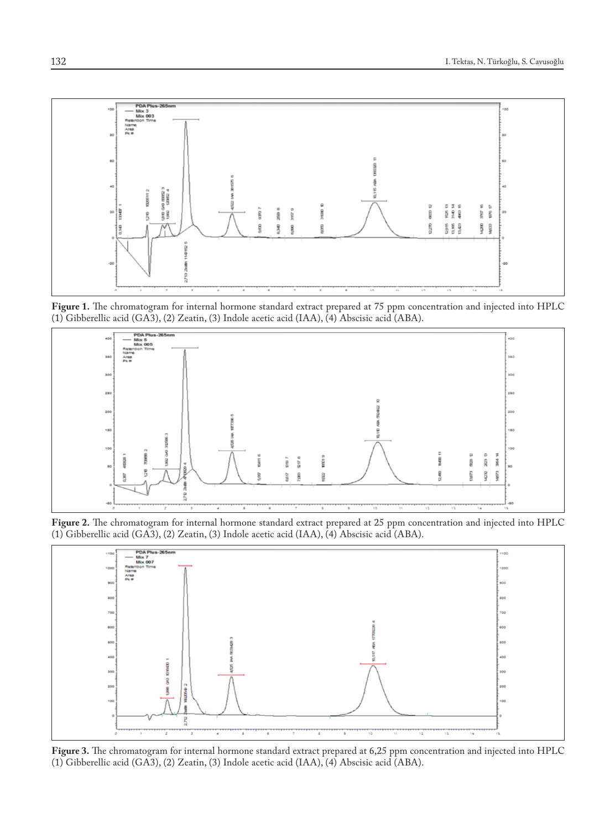

**Figure 1.** The chromatogram for internal hormone standard extract prepared at 75 ppm concentration and injected into HPLC (1) Gibberellic acid (GA3), (2) Zeatin, (3) Indole acetic acid (IAA), (4) Abscisic acid (ABA).



**Figure 2.** The chromatogram for internal hormone standard extract prepared at 25 ppm concentration and injected into HPLC (1) Gibberellic acid (GA3), (2) Zeatin, (3) Indole acetic acid (IAA), (4) Abscisic acid (ABA).



**Figure 3.** The chromatogram for internal hormone standard extract prepared at 6,25 ppm concentration and injected into HPLC (1) Gibberellic acid (GA3), (2) Zeatin, (3) Indole acetic acid (IAA), (4) Abscisic acid (ABA).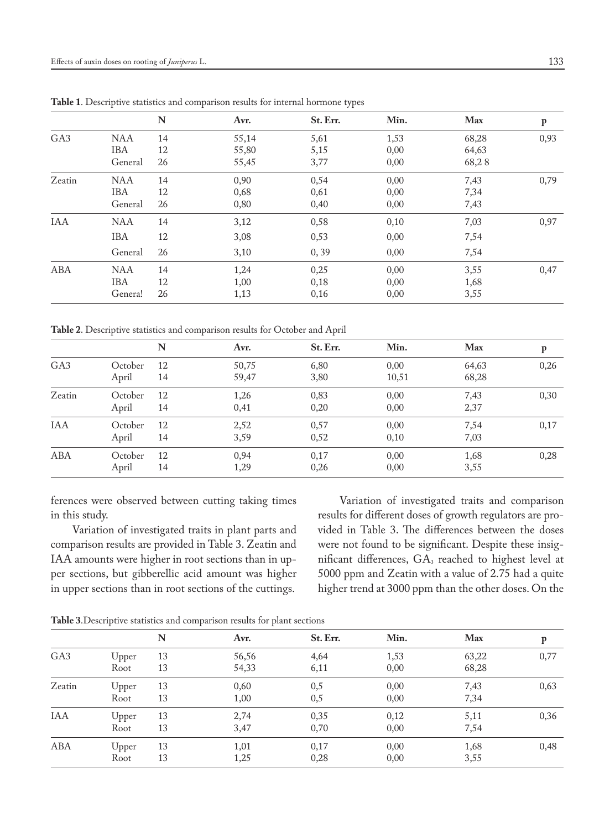|                 |            | N  | Avr.  | St. Err. | Min. | Max   | $\mathbf{p}$ |
|-----------------|------------|----|-------|----------|------|-------|--------------|
| GA <sub>3</sub> | <b>NAA</b> | 14 | 55,14 | 5,61     | 1,53 | 68,28 | 0,93         |
|                 | <b>IBA</b> | 12 | 55,80 | 5,15     | 0,00 | 64,63 |              |
|                 | General    | 26 | 55,45 | 3,77     | 0,00 | 68,28 |              |
| Zeatin          | <b>NAA</b> | 14 | 0,90  | 0,54     | 0,00 | 7,43  | 0,79         |
|                 | <b>IBA</b> | 12 | 0,68  | 0,61     | 0,00 | 7,34  |              |
|                 | General    | 26 | 0,80  | 0,40     | 0,00 | 7,43  |              |
| <b>IAA</b>      | <b>NAA</b> | 14 | 3,12  | 0,58     | 0,10 | 7,03  | 0,97         |
|                 | <b>IBA</b> | 12 | 3,08  | 0,53     | 0,00 | 7,54  |              |
|                 | General    | 26 | 3,10  | 0, 39    | 0,00 | 7,54  |              |
| ABA             | <b>NAA</b> | 14 | 1,24  | 0,25     | 0,00 | 3,55  | 0,47         |
|                 | <b>IBA</b> | 12 | 1,00  | 0,18     | 0,00 | 1,68  |              |
|                 | Genera!    | 26 | 1,13  | 0,16     | 0,00 | 3,55  |              |

**Table 1**. Descriptive statistics and comparison results for internal hormone types

**Table 2**. Descriptive statistics and comparison results for October and April

|                 |         | N  | Avr.  | St. Err. | Min.  | Max   | P    |
|-----------------|---------|----|-------|----------|-------|-------|------|
| GA <sub>3</sub> | October | 12 | 50,75 | 6,80     | 0,00  | 64,63 | 0,26 |
|                 | April   | 14 | 59,47 | 3,80     | 10,51 | 68,28 |      |
| Zeatin          | October | 12 | 1,26  | 0,83     | 0,00  | 7,43  | 0,30 |
|                 | April   | 14 | 0,41  | 0,20     | 0,00  | 2,37  |      |
| <b>IAA</b>      | October | 12 | 2,52  | 0,57     | 0,00  | 7,54  | 0,17 |
|                 | April   | 14 | 3,59  | 0,52     | 0,10  | 7,03  |      |
| ABA             | October | 12 | 0,94  | 0,17     | 0,00  | 1,68  | 0,28 |
|                 | April   | 14 | 1,29  | 0,26     | 0,00  | 3,55  |      |
|                 |         |    |       |          |       |       |      |

ferences were observed between cutting taking times in this study.

Variation of investigated traits in plant parts and comparison results are provided in Table 3. Zeatin and IAA amounts were higher in root sections than in upper sections, but gibberellic acid amount was higher in upper sections than in root sections of the cuttings.

Variation of investigated traits and comparison results for different doses of growth regulators are provided in Table 3. The differences between the doses were not found to be significant. Despite these insignificant differences, GA<sub>3</sub> reached to highest level at 5000 ppm and Zeatin with a value of 2.75 had a quite higher trend at 3000 ppm than the other doses. On the

**Table 3**.Descriptive statistics and comparison results for plant sections

|                 |               | N        | Avr.           | St. Err.     | Min.         | Max            | p    |  |
|-----------------|---------------|----------|----------------|--------------|--------------|----------------|------|--|
| GA <sub>3</sub> | Upper<br>Root | 13<br>13 | 56,56<br>54,33 | 4,64<br>6,11 | 1,53<br>0,00 | 63,22<br>68,28 | 0,77 |  |
| Zeatin          | Upper<br>Root | 13<br>13 | 0,60<br>1,00   | 0,5<br>0,5   | 0,00<br>0,00 | 7,43<br>7,34   | 0,63 |  |
| <b>IAA</b>      | Upper<br>Root | 13<br>13 | 2,74<br>3,47   | 0,35<br>0,70 | 0,12<br>0,00 | 5,11<br>7,54   | 0,36 |  |
| ABA             | Upper<br>Root | 13<br>13 | 1,01<br>1,25   | 0,17<br>0,28 | 0,00<br>0,00 | 1,68<br>3,55   | 0,48 |  |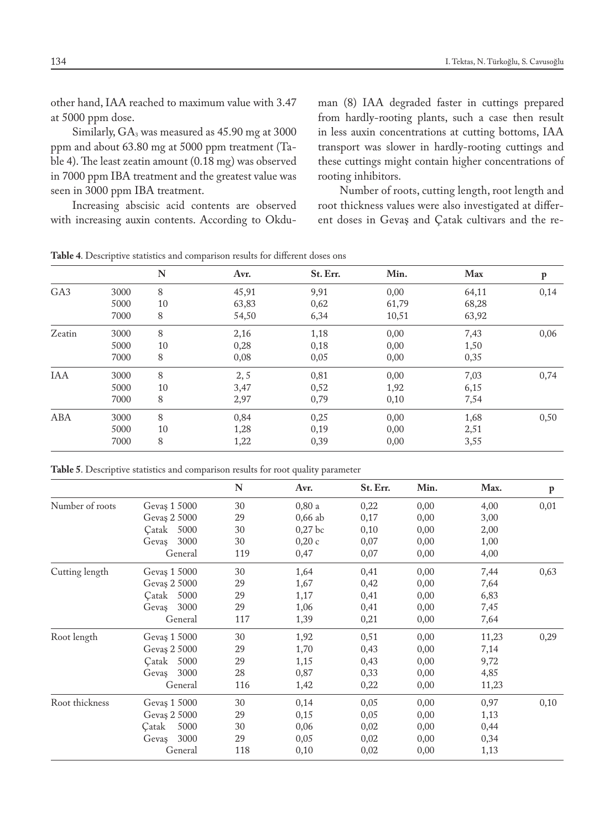other hand, IAA reached to maximum value with 3.47 at 5000 ppm dose.

Similarly, GA3 was measured as 45.90 mg at 3000 ppm and about 63.80 mg at 5000 ppm treatment (Table 4). The least zeatin amount (0.18 mg) was observed in 7000 ppm IBA treatment and the greatest value was seen in 3000 ppm IBA treatment.

Increasing abscisic acid contents are observed with increasing auxin contents. According to Okduman (8) IAA degraded faster in cuttings prepared from hardly-rooting plants, such a case then result in less auxin concentrations at cutting bottoms, IAA transport was slower in hardly-rooting cuttings and these cuttings might contain higher concentrations of rooting inhibitors.

Number of roots, cutting length, root length and root thickness values were also investigated at different doses in Gevaş and Çatak cultivars and the re-

**Table 4**. Descriptive statistics and comparison results for different doses ons

|                 |      | N  | Avr.  | St. Err. | Min.  | Max   | p    |
|-----------------|------|----|-------|----------|-------|-------|------|
| GA <sub>3</sub> | 3000 | 8  | 45,91 | 9,91     | 0,00  | 64,11 | 0,14 |
|                 | 5000 | 10 | 63,83 | 0,62     | 61,79 | 68,28 |      |
|                 | 7000 | 8  | 54,50 | 6,34     | 10,51 | 63,92 |      |
| Zeatin          | 3000 | 8  | 2,16  | 1,18     | 0,00  | 7,43  | 0,06 |
|                 | 5000 | 10 | 0,28  | 0,18     | 0,00  | 1,50  |      |
|                 | 7000 | 8  | 0,08  | 0,05     | 0,00  | 0,35  |      |
| <b>IAA</b>      | 3000 | 8  | 2, 5  | 0,81     | 0,00  | 7,03  | 0,74 |
|                 | 5000 | 10 | 3,47  | 0,52     | 1,92  | 6,15  |      |
|                 | 7000 | 8  | 2,97  | 0,79     | 0,10  | 7,54  |      |
| ABA             | 3000 | 8  | 0,84  | 0,25     | 0,00  | 1,68  | 0,50 |
|                 | 5000 | 10 | 1,28  | 0,19     | 0,00  | 2,51  |      |
|                 | 7000 | 8  | 1,22  | 0,39     | 0,00  | 3,55  |      |

**Table 5**. Descriptive statistics and comparison results for root quality parameter

|                 |               | N   | Avr.      | St. Err. | Min. | Max.  | $\mathbf{p}$ |
|-----------------|---------------|-----|-----------|----------|------|-------|--------------|
| Number of roots | Gevaş 1 5000  | 30  | 0,80a     | 0,22     | 0,00 | 4,00  | 0,01         |
|                 | Gevas 2 5000  | 29  | $0,66$ ab | 0,17     | 0,00 | 3,00  |              |
|                 | Catak 5000    | 30  | 0,27 bc   | 0,10     | 0,00 | 2,00  |              |
|                 | 3000<br>Gevaş | 30  | 0,20c     | 0,07     | 0,00 | 1,00  |              |
|                 | General       | 119 | 0,47      | 0,07     | 0,00 | 4,00  |              |
| Cutting length  | Gevas 1 5000  | 30  | 1,64      | 0,41     | 0,00 | 7,44  | 0,63         |
|                 | Gevas 2 5000  | 29  | 1,67      | 0,42     | 0,00 | 7,64  |              |
|                 | 5000<br>Catak | 29  | 1,17      | 0,41     | 0,00 | 6,83  |              |
|                 | 3000<br>Gevaş | 29  | 1,06      | 0,41     | 0,00 | 7,45  |              |
|                 | General       | 117 | 1,39      | 0,21     | 0,00 | 7,64  |              |
| Root length     | Gevas 1 5000  | 30  | 1,92      | 0,51     | 0,00 | 11,23 | 0,29         |
|                 | Gevas 2 5000  | 29  | 1,70      | 0,43     | 0,00 | 7,14  |              |
|                 | Çatak<br>5000 | 29  | 1,15      | 0,43     | 0,00 | 9,72  |              |
|                 | 3000<br>Gevas | 28  | 0,87      | 0,33     | 0,00 | 4,85  |              |
|                 | General       | 116 | 1,42      | 0,22     | 0,00 | 11,23 |              |
| Root thickness  | Gevaş 1 5000  | 30  | 0,14      | 0,05     | 0,00 | 0,97  | 0,10         |
|                 | Gevas 2 5000  | 29  | 0,15      | 0,05     | 0,00 | 1,13  |              |
|                 | Çatak<br>5000 | 30  | 0,06      | 0,02     | 0,00 | 0,44  |              |
|                 | 3000<br>Gevas | 29  | 0,05      | 0,02     | 0,00 | 0,34  |              |
|                 | General       | 118 | 0,10      | 0,02     | 0,00 | 1,13  |              |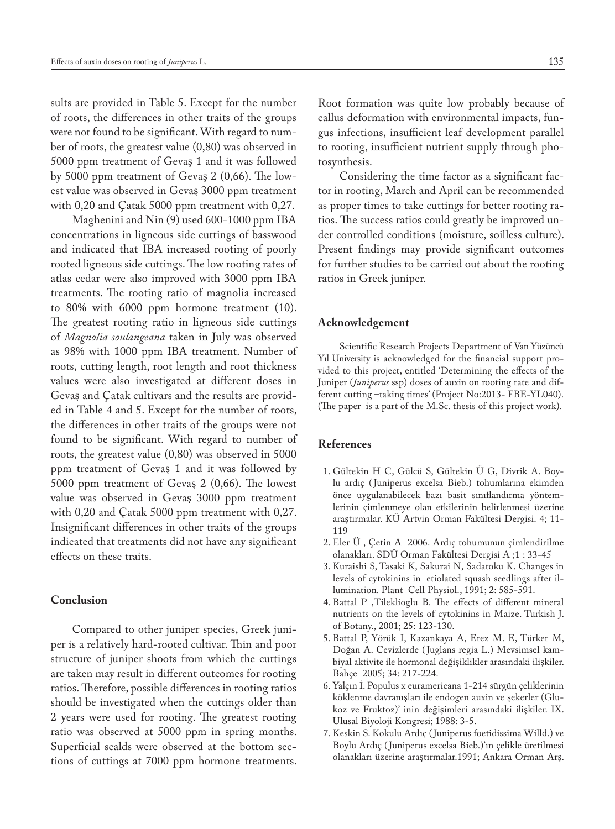sults are provided in Table 5. Except for the number of roots, the differences in other traits of the groups were not found to be significant. With regard to number of roots, the greatest value (0,80) was observed in 5000 ppm treatment of Gevaş 1 and it was followed by 5000 ppm treatment of Gevaş 2 (0,66). The lowest value was observed in Gevaş 3000 ppm treatment with 0,20 and Çatak 5000 ppm treatment with 0,27.

Maghenini and Nin (9) used 600-1000 ppm IBA concentrations in ligneous side cuttings of basswood and indicated that IBA increased rooting of poorly rooted ligneous side cuttings. The low rooting rates of atlas cedar were also improved with 3000 ppm IBA treatments. The rooting ratio of magnolia increased to 80% with 6000 ppm hormone treatment (10). The greatest rooting ratio in ligneous side cuttings of *Magnolia soulangeana* taken in July was observed as 98% with 1000 ppm IBA treatment. Number of roots, cutting length, root length and root thickness values were also investigated at different doses in Gevaş and Çatak cultivars and the results are provided in Table 4 and 5. Except for the number of roots, the differences in other traits of the groups were not found to be significant. With regard to number of roots, the greatest value (0,80) was observed in 5000 ppm treatment of Gevaş 1 and it was followed by 5000 ppm treatment of Gevaş 2 (0,66). The lowest value was observed in Gevaş 3000 ppm treatment with 0,20 and Çatak 5000 ppm treatment with 0,27. Insignificant differences in other traits of the groups indicated that treatments did not have any significant effects on these traits.

## **Conclusion**

Compared to other juniper species, Greek juniper is a relatively hard-rooted cultivar. Thin and poor structure of juniper shoots from which the cuttings are taken may result in different outcomes for rooting ratios. Therefore, possible differences in rooting ratios should be investigated when the cuttings older than 2 years were used for rooting. The greatest rooting ratio was observed at 5000 ppm in spring months. Superficial scalds were observed at the bottom sections of cuttings at 7000 ppm hormone treatments. Root formation was quite low probably because of callus deformation with environmental impacts, fungus infections, insufficient leaf development parallel to rooting, insufficient nutrient supply through photosynthesis.

Considering the time factor as a significant factor in rooting, March and April can be recommended as proper times to take cuttings for better rooting ratios. The success ratios could greatly be improved under controlled conditions (moisture, soilless culture). Present findings may provide significant outcomes for further studies to be carried out about the rooting ratios in Greek juniper.

#### **Acknowledgement**

Scientific Research Projects Department of Van Yüzüncü Yıl University is acknowledged for the financial support provided to this project, entitled 'Determining the effects of the Juniper (*Juniperus* ssp) doses of auxin on rooting rate and different cutting –taking times' (Project No:2013- FBE-YL040). (The paper is a part of the M.Sc. thesis of this project work).

# **References**

- 1. Gültekin H C, Gülcü S, Gültekin Ü G, Divrik A. Boylu ardıç ( Juniperus excelsa Bieb.) tohumlarına ekimden önce uygulanabilecek bazı basit sınıflandırma yöntemlerinin çimlenmeye olan etkilerinin belirlenmesi üzerine araştırmalar. KÜ Artvin Orman Fakültesi Dergisi. 4; 11- 119
- 2. Eler Ü , Çetin A 2006. Ardıç tohumunun çimlendirilme olanakları. SDÜ Orman Fakültesi Dergisi A ;1 : 33-45
- 3. Kuraishi S, Tasaki K, Sakurai N, Sadatoku K. Changes in levels of cytokinins in etiolated squash seedlings after illumination. Plant Cell Physiol., 1991; 2: 585-591.
- 4. Battal P ,Tileklioglu B. The effects of different mineral nutrients on the levels of cytokinins in Maize. Turkish J. of Botany., 2001; 25: 123-130.
- 5. Battal P, Yörük I, Kazankaya A, Erez M. E, Türker M, Doğan A. Cevizlerde ( Juglans regia L.) Mevsimsel kambiyal aktivite ile hormonal değişiklikler arasındaki ilişkiler. Bahçe 2005; 34: 217-224.
- 6. Yalçın İ. Populus x euramericana 1-214 sürgün çeliklerinin köklenme davranışları ile endogen auxin ve şekerler (Glukoz ve Fruktoz)' inin değişimleri arasındaki ilişkiler. IX. Ulusal Biyoloji Kongresi; 1988: 3-5.
- 7. Keskin S. Kokulu Ardıç ( Juniperus foetidissima Willd.) ve Boylu Ardıç ( Juniperus excelsa Bieb.)'ın çelikle üretilmesi olanakları üzerine araştırmalar.1991; Ankara Orman Arş.